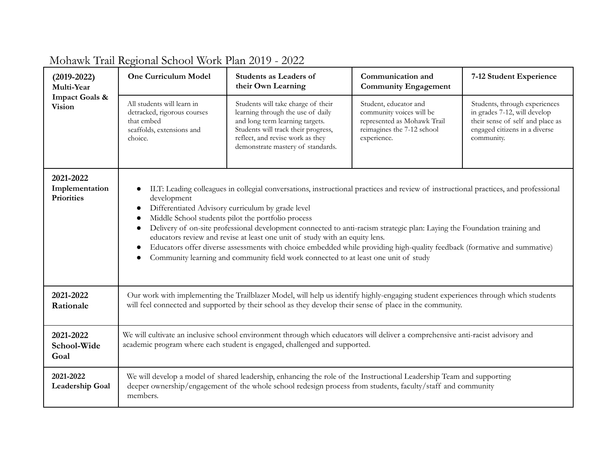| $(2019 - 2022)$<br>Multi-Year<br><b>Impact Goals &amp;</b><br><b>Vision</b> | <b>One Curriculum Model</b>                                                                                                                                                                                                                                                                                                                                                                                                                                                                                                                                                                                                                                                                                                                                  | <b>Students as Leaders of</b><br>their Own Learning                                                                                                                                                                        | Communication and<br><b>Community Engagement</b>                                                                              | 7-12 Student Experience                                                                                                                          |
|-----------------------------------------------------------------------------|--------------------------------------------------------------------------------------------------------------------------------------------------------------------------------------------------------------------------------------------------------------------------------------------------------------------------------------------------------------------------------------------------------------------------------------------------------------------------------------------------------------------------------------------------------------------------------------------------------------------------------------------------------------------------------------------------------------------------------------------------------------|----------------------------------------------------------------------------------------------------------------------------------------------------------------------------------------------------------------------------|-------------------------------------------------------------------------------------------------------------------------------|--------------------------------------------------------------------------------------------------------------------------------------------------|
|                                                                             | All students will learn in<br>detracked, rigorous courses<br>that embed<br>scaffolds, extensions and<br>choice.                                                                                                                                                                                                                                                                                                                                                                                                                                                                                                                                                                                                                                              | Students will take charge of their<br>learning through the use of daily<br>and long term learning targets.<br>Students will track their progress,<br>reflect, and revise work as they<br>demonstrate mastery of standards. | Student, educator and<br>community voices will be<br>represented as Mohawk Trail<br>reimagines the 7-12 school<br>experience. | Students, through experiences<br>in grades 7-12, will develop<br>their sense of self and place as<br>engaged citizens in a diverse<br>community. |
| 2021-2022<br>Implementation<br><b>Priorities</b>                            | ILT: Leading colleagues in collegial conversations, instructional practices and review of instructional practices, and professional<br>development<br>Differentiated Advisory curriculum by grade level<br>$\bullet$<br>Middle School students pilot the portfolio process<br>$\bullet$<br>Delivery of on-site professional development connected to anti-racism strategic plan: Laying the Foundation training and<br>$\bullet$<br>educators review and revise at least one unit of study with an equity lens.<br>Educators offer diverse assessments with choice embedded while providing high-quality feedback (formative and summative)<br>$\bullet$<br>Community learning and community field work connected to at least one unit of study<br>$\bullet$ |                                                                                                                                                                                                                            |                                                                                                                               |                                                                                                                                                  |
| 2021-2022<br>Rationale                                                      | Our work with implementing the Trailblazer Model, will help us identify highly-engaging student experiences through which students<br>will feel connected and supported by their school as they develop their sense of place in the community.                                                                                                                                                                                                                                                                                                                                                                                                                                                                                                               |                                                                                                                                                                                                                            |                                                                                                                               |                                                                                                                                                  |
| 2021-2022<br>School-Wide<br>Goal                                            | We will cultivate an inclusive school environment through which educators will deliver a comprehensive anti-racist advisory and<br>academic program where each student is engaged, challenged and supported.                                                                                                                                                                                                                                                                                                                                                                                                                                                                                                                                                 |                                                                                                                                                                                                                            |                                                                                                                               |                                                                                                                                                  |
| 2021-2022<br>Leadership Goal                                                | We will develop a model of shared leadership, enhancing the role of the Instructional Leadership Team and supporting<br>deeper ownership/engagement of the whole school redesign process from students, faculty/staff and community<br>members.                                                                                                                                                                                                                                                                                                                                                                                                                                                                                                              |                                                                                                                                                                                                                            |                                                                                                                               |                                                                                                                                                  |

## Mohawk Trail Regional School Work Plan 2019 - 2022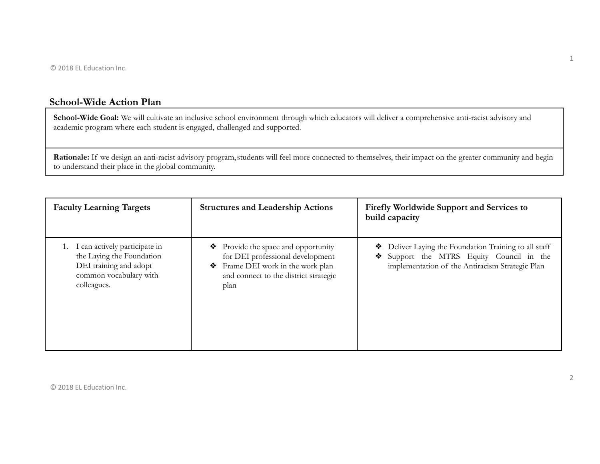## **School-Wide Action Plan**

**School-Wide Goal:** We will cultivate an inclusive school environment through which educators will deliver a comprehensive anti-racist advisory and academic program where each student is engaged, challenged and supported.

Rationale: If we design an anti-racist advisory program, students will feel more connected to themselves, their impact on the greater community and begin to understand their place in the global community.

| <b>Faculty Learning Targets</b>                                                                                                  | <b>Structures and Leadership Actions</b>                                                                                                                            | <b>Firefly Worldwide Support and Services to</b><br>build capacity                                                                               |
|----------------------------------------------------------------------------------------------------------------------------------|---------------------------------------------------------------------------------------------------------------------------------------------------------------------|--------------------------------------------------------------------------------------------------------------------------------------------------|
| 1. I can actively participate in<br>the Laying the Foundation<br>DEI training and adopt<br>common vocabulary with<br>colleagues. | Provide the space and opportunity<br>❖<br>for DEI professional development<br>Frame DEI work in the work plan<br>❖<br>and connect to the district strategic<br>plan | Deliver Laying the Foundation Training to all staff<br>Support the MTRS Equity Council in the<br>implementation of the Antiracism Strategic Plan |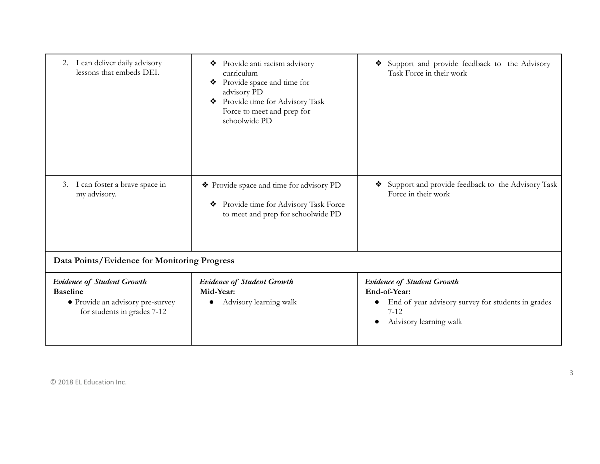| I can deliver daily advisory<br>2.<br>lessons that embeds DEI.                                                          | Provide anti racism advisory<br>❖<br>curriculum<br>Provide space and time for<br>advisory PD<br>Provide time for Advisory Task<br>❖<br>Force to meet and prep for<br>schoolwide PD | Support and provide feedback to the Advisory<br>❖<br>Task Force in their work                                                                 |
|-------------------------------------------------------------------------------------------------------------------------|------------------------------------------------------------------------------------------------------------------------------------------------------------------------------------|-----------------------------------------------------------------------------------------------------------------------------------------------|
| I can foster a brave space in<br>3.<br>my advisory.                                                                     | Provide space and time for advisory PD<br>Provide time for Advisory Task Force<br>❖<br>to meet and prep for schoolwide PD                                                          | Support and provide feedback to the Advisory Task<br>❖<br>Force in their work                                                                 |
| Data Points/Evidence for Monitoring Progress                                                                            |                                                                                                                                                                                    |                                                                                                                                               |
| <b>Evidence of Student Growth</b><br><b>Baseline</b><br>• Provide an advisory pre-survey<br>for students in grades 7-12 | <b>Evidence of Student Growth</b><br>Mid-Year:<br>Advisory learning walk                                                                                                           | <b>Evidence of Student Growth</b><br>End-of-Year:<br>End of year advisory survey for students in grades<br>$7 - 12$<br>Advisory learning walk |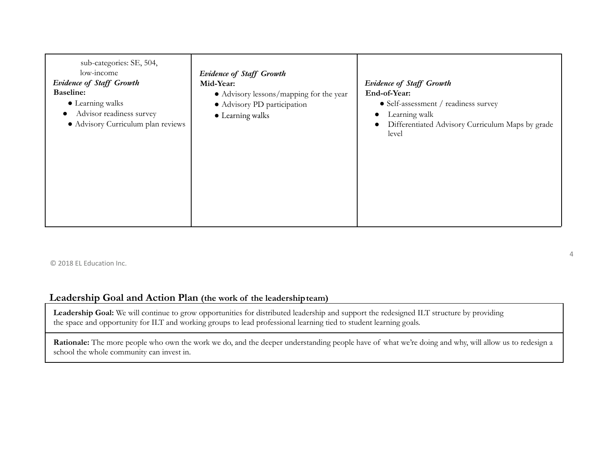| sub-categories: SE, 504,<br>low-income<br><b>Evidence of Staff Growth</b><br><b>Baseline:</b><br>• Learning walks<br>Advisor readiness survey<br>· Advisory Curriculum plan reviews | <b>Evidence of Staff Growth</b><br>Mid-Year:<br>• Advisory lessons/mapping for the year<br>· Advisory PD participation<br>• Learning walks | <b>Evidence of Staff Growth</b><br>End-of-Year:<br>$\bullet$ Self-assessment / readiness survey<br>Learning walk<br>$\bullet$<br>Differentiated Advisory Curriculum Maps by grade<br>$\bullet$<br>level |
|-------------------------------------------------------------------------------------------------------------------------------------------------------------------------------------|--------------------------------------------------------------------------------------------------------------------------------------------|---------------------------------------------------------------------------------------------------------------------------------------------------------------------------------------------------------|
|-------------------------------------------------------------------------------------------------------------------------------------------------------------------------------------|--------------------------------------------------------------------------------------------------------------------------------------------|---------------------------------------------------------------------------------------------------------------------------------------------------------------------------------------------------------|

## **Leadership Goal and Action Plan (the work of the leadershipteam)**

**Leadership Goal:** We will continue to grow opportunities for distributed leadership and support the redesigned ILT structure by providing the space and opportunity for ILT and working groups to lead professional learning tied to student learning goals.

Rationale: The more people who own the work we do, and the deeper understanding people have of what we're doing and why, will allow us to redesign a school the whole community can invest in.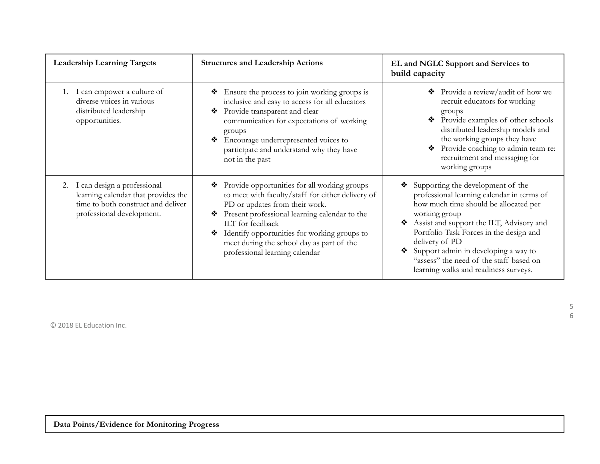| <b>Leadership Learning Targets</b>                                                                                                          | <b>Structures and Leadership Actions</b>                                                                                                                                                                                                                                                                                                          | EL and NGLC Support and Services to<br>build capacity                                                                                                                                                                                                                                                                                                                                    |
|---------------------------------------------------------------------------------------------------------------------------------------------|---------------------------------------------------------------------------------------------------------------------------------------------------------------------------------------------------------------------------------------------------------------------------------------------------------------------------------------------------|------------------------------------------------------------------------------------------------------------------------------------------------------------------------------------------------------------------------------------------------------------------------------------------------------------------------------------------------------------------------------------------|
| 1. I can empower a culture of<br>diverse voices in various<br>distributed leadership<br>opportunities.                                      | Ensure the process to join working groups is<br>❖<br>inclusive and easy to access for all educators<br>Provide transparent and clear<br>❖<br>communication for expectations of working<br>groups<br>Encourage underrepresented voices to<br>participate and understand why they have<br>not in the past                                           | Provide a review/audit of how we<br>❖<br>recruit educators for working<br>groups<br>Provide examples of other schools<br>distributed leadership models and<br>the working groups they have<br>Provide coaching to admin team re:<br>❖<br>recruitment and messaging for<br>working groups                                                                                                 |
| I can design a professional<br>2.<br>learning calendar that provides the<br>time to both construct and deliver<br>professional development. | Provide opportunities for all working groups<br>to meet with faculty/staff for either delivery of<br>PD or updates from their work.<br>Present professional learning calendar to the<br>❖<br>ILT for feedback<br>Identify opportunities for working groups to<br>❖<br>meet during the school day as part of the<br>professional learning calendar | Supporting the development of the<br>❖<br>professional learning calendar in terms of<br>how much time should be allocated per<br>working group<br>Assist and support the ILT, Advisory and<br>❖<br>Portfolio Task Forces in the design and<br>delivery of PD<br>Support admin in developing a way to<br>"assess" the need of the staff based on<br>learning walks and readiness surveys. |